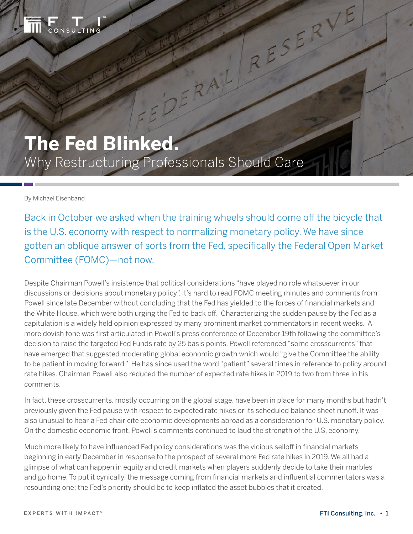

# **The Fed Blinked.** Why Restructuring Professionals Should Care

### By Michael Eisenband

Back in October we asked when the training wheels should come off the bicycle that is the U.S. economy with respect to normalizing monetary policy. We have since gotten an oblique answer of sorts from the Fed, specifically the Federal Open Market Committee (FOMC)—not now.

ERAIL

RESERVE

Despite Chairman Powell's insistence that political considerations "have played no role whatsoever in our discussions or decisions about monetary policy", it's hard to read FOMC meeting minutes and comments from Powell since late December without concluding that the Fed has yielded to the forces of financial markets and the White House, which were both urging the Fed to back off. Characterizing the sudden pause by the Fed as a capitulation is a widely held opinion expressed by many prominent market commentators in recent weeks. A more dovish tone was first articulated in Powell's press conference of December 19th following the committee's decision to raise the targeted Fed Funds rate by 25 basis points. Powell referenced "some crosscurrents" that have emerged that suggested moderating global economic growth which would "give the Committee the ability to be patient in moving forward." He has since used the word "patient" several times in reference to policy around rate hikes. Chairman Powell also reduced the number of expected rate hikes in 2019 to two from three in his comments.

In fact, these crosscurrents, mostly occurring on the global stage, have been in place for many months but hadn't previously given the Fed pause with respect to expected rate hikes or its scheduled balance sheet runoff. It was also unusual to hear a Fed chair cite economic developments abroad as a consideration for U.S. monetary policy. On the domestic economic front, Powell's comments continued to laud the strength of the U.S. economy.

Much more likely to have influenced Fed policy considerations was the vicious selloff in financial markets beginning in early December in response to the prospect of several more Fed rate hikes in 2019. We all had a glimpse of what can happen in equity and credit markets when players suddenly decide to take their marbles and go home. To put it cynically, the message coming from financial markets and influential commentators was a resounding one: the Fed's priority should be to keep inflated the asset bubbles that it created.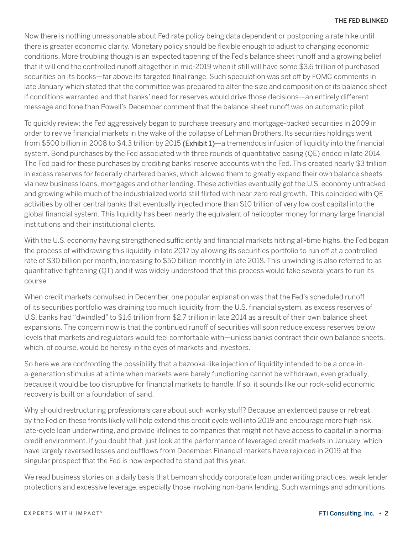Now there is nothing unreasonable about Fed rate policy being data dependent or postponing a rate hike until there is greater economic clarity. Monetary policy should be flexible enough to adjust to changing economic conditions. More troubling though is an expected tapering of the Fed's balance sheet runoff and a growing belief that it will end the controlled runoff altogether in mid-2019 when it still will have some \$3.6 trillion of purchased securities on its books—far above its targeted final range. Such speculation was set off by FOMC comments in late January which stated that the committee was prepared to alter the size and composition of its balance sheet if conditions warranted and that banks' need for reserves would drive those decisions—an entirely different message and tone than Powell's December comment that the balance sheet runoff was on automatic pilot.

To quickly review: the Fed aggressively began to purchase treasury and mortgage-backed securities in 2009 in order to revive financial markets in the wake of the collapse of Lehman Brothers. Its securities holdings went from \$500 billion in 2008 to \$4.3 trillion by 2015 (Exhibit 1)—a tremendous infusion of liquidity into the financial system. Bond purchases by the Fed associated with three rounds of quantitative easing (QE) ended in late 2014. The Fed paid for these purchases by crediting banks' reserve accounts with the Fed. This created nearly \$3 trillion in excess reserves for federally chartered banks, which allowed them to greatly expand their own balance sheets via new business loans, mortgages and other lending. These activities eventually got the U.S. economy untracked and growing while much of the industrialized world still flirted with near-zero real growth. This coincided with QE activities by other central banks that eventually injected more than \$10 trillion of very low cost capital into the global financial system. This liquidity has been nearly the equivalent of helicopter money for many large financial institutions and their institutional clients.

With the U.S. economy having strengthened sufficiently and financial markets hitting all-time highs, the Fed began the process of withdrawing this liquidity in late 2017 by allowing its securities portfolio to run off at a controlled rate of \$30 billion per month, increasing to \$50 billion monthly in late 2018. This unwinding is also referred to as quantitative tightening (QT) and it was widely understood that this process would take several years to run its course.

When credit markets convulsed in December, one popular explanation was that the Fed's scheduled runoff of its securities portfolio was draining too much liquidity from the U.S. financial system, as excess reserves of U.S. banks had "dwindled" to \$1.6 trillion from \$2.7 trillion in late 2014 as a result of their own balance sheet expansions. The concern now is that the continued runoff of securities will soon reduce excess reserves below levels that markets and regulators would feel comfortable with—unless banks contract their own balance sheets, which, of course, would be heresy in the eyes of markets and investors.

So here we are confronting the possibility that a bazooka-like injection of liquidity intended to be a once-ina-generation stimulus at a time when markets were barely functioning cannot be withdrawn, even gradually, because it would be too disruptive for financial markets to handle. If so, it sounds like our rock-solid economic recovery is built on a foundation of sand.

Why should restructuring professionals care about such wonky stuff? Because an extended pause or retreat by the Fed on these fronts likely will help extend this credit cycle well into 2019 and encourage more high risk, late-cycle loan underwriting, and provide lifelines to companies that might not have access to capital in a normal credit environment. If you doubt that, just look at the performance of leveraged credit markets in January, which have largely reversed losses and outflows from December. Financial markets have rejoiced in 2019 at the singular prospect that the Fed is now expected to stand pat this year.

We read business stories on a daily basis that bemoan shoddy corporate loan underwriting practices, weak lender protections and excessive leverage, especially those involving non-bank lending. Such warnings and admonitions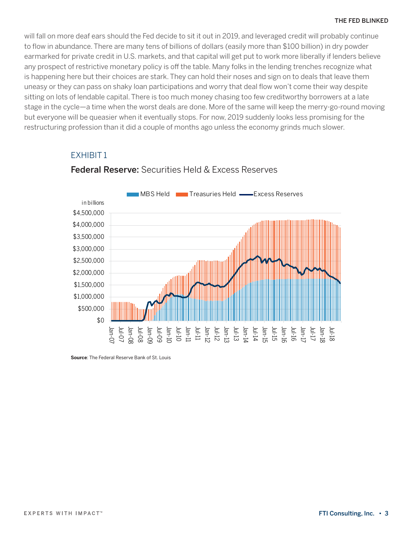will fall on more deaf ears should the Fed decide to sit it out in 2019, and leveraged credit will probably continue to flow in abundance. There are many tens of billions of dollars (easily more than \$100 billion) in dry powder earmarked for private credit in U.S. markets, and that capital will get put to work more liberally if lenders believe any prospect of restrictive monetary policy is off the table. Many folks in the lending trenches recognize what is happening here but their choices are stark. They can hold their noses and sign on to deals that leave them uneasy or they can pass on shaky loan participations and worry that deal flow won't come their way despite sitting on lots of lendable capital. There is too much money chasing too few creditworthy borrowers at a late stage in the cycle—a time when the worst deals are done. More of the same will keep the merry-go-round moving but everyone will be queasier when it eventually stops. For now, 2019 suddenly looks less promising for the restructuring profession than it did a couple of months ago unless the economy grinds much slower.

### EXHIBIT 1



## **Federal Reserve: Securities Held & Excess Reserves** Federal Reserve: Securities Held & Excess Reserves

**Source**: The Federal Reserve Bank of St. Louis